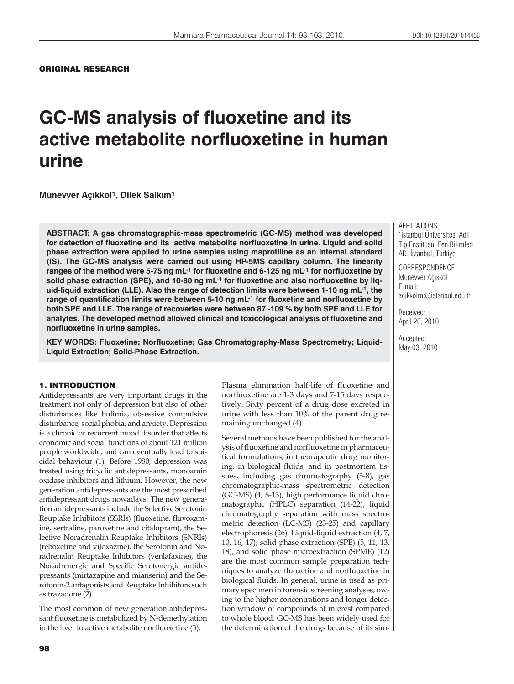# **GC-MS analysis of fluoxetine and its active metabolite norfluoxetine in human urine**

**Münevver Aç×kkol1, Dilek Salk×m1**

**ABSTRACT: A gas chromatographic-mass spectrometric (GC-MS) method was developed for detection of fluoxetine and its active metabolite norfluoxetine in urine. Liquid and solid phase extraction were applied to urine samples using maprotiline as an internal standard (IS). The GC-MS analysis were carried out using HP-5MS capillary column. The linearity ranges of the method were 5-75 ng mL-1 for fluoxetine and 6-125 ng mL-1 for norfluoxetine by**  solid phase extraction (SPE), and 10-80 ng mL<sup>-1</sup> for fluoxetine and also norfluoxetine by liq**uid-liquid extraction (LLE). Also the range of detection limits were between 1-10 ng mL-1, the range of quantification limits were between 5-10 ng mL-1 for fluoxetine and norfluoxetine by both SPE and LLE. The range of recoveries were between 87 -109 % by both SPE and LLE for analytes. The developed method allowed clinical and toxicological analysis of fluoxetine and norfluoxetine in urine samples.**

**KEY WORDS: Fluoxetine; Norfluoxetine; Gas Chromatography-Mass Spectrometry; Liquid-Liquid Extraction; Solid-Phase Extraction.**

# 1. INTRODUCTION

Antidepressants are very important drugs in the treatment not only of depression but also of other disturbances like bulimia, obsessive compulsive disturbance, social phobia, and anxiety. Depression is a chronic or recurrent mood disorder that affects economic and social functions of about 121 million people worldwide, and can eventually lead to suicidal behaviour (1). Before 1980, depression was treated using tricyclic antidepressants, monoamin oxidase inhibitors and lithium. However, the new generation antidepressants are the most prescribed antidepressant drugs nowadays. The new generation antidepressants include the Selective Serotonin Reuptake Inhibitors (SSRIs) (fluoxetine, fluvoxamine, sertraline, paroxetine and citalopram), the Selective Noradrenalin Reuptake Inhibitors (SNRIs) (reboxetine and viloxazine), the Serotonin and Noradrenalin Reuptake Inhibitors (venlafaxine), the Noradrenergic and Specific Serotonergic antidepressants (mirtazapine and mianserin) and the Serotonin-2 antagonists and Reuptake Inhibitors such as trazadone (2).

The most common of new generation antidepressant fluoxetine is metabolized by N-demethylation in the liver to active metabolite norfluoxetine (3).

Plasma elimination half-life of fluoxetine and norfluoxetine are 1-3 days and 7-15 days respectively. Sixty percent of a drug dose excreted in urine with less than 10% of the parent drug remaining unchanged (4).

Several methods have been published for the analysis of fluoxetine and norfluoxetine in pharmaceutical formulations, in theurapeutic drug monitoring, in biological fluids, and in postmortem tissues, including gas chromatography (5-8), gas chromatographic-mass spectrometric detection (GC-MS) (4, 8-13), high performance liquid chromatographic (HPLC) separation (14-22), liquid chromatography separation with mass spectrometric detection (LC-MS) (23-25) and capillary electrophoresis (26). Liquid-liquid extraction (4, 7, 10, 16, 17), solid phase extraction (SPE) (5, 11, 13, 18), and solid phase microextraction (SPME) (12) are the most common sample preparation techniques to analyze fluoxetine and norfluoxetine in biological fluids. In general, urine is used as primary specimen in forensic screening analyses, owing to the higher concentrations and longer detection window of compounds of interest compared to whole blood. GC-MS has been widely used for the determination of the drugs because of its simAFFILIATIONS 1 İstanbul Üniversitesi Adli Tıp Enstitüsü, Fen Bilimleri AD, İstanbul, Türkiye

**CORRESPONDENCE** Münevver Açıkkol E-mail: acikkolm@istanbul.edu.tr

Received: April 20, 2010

Accepted: May 03, 2010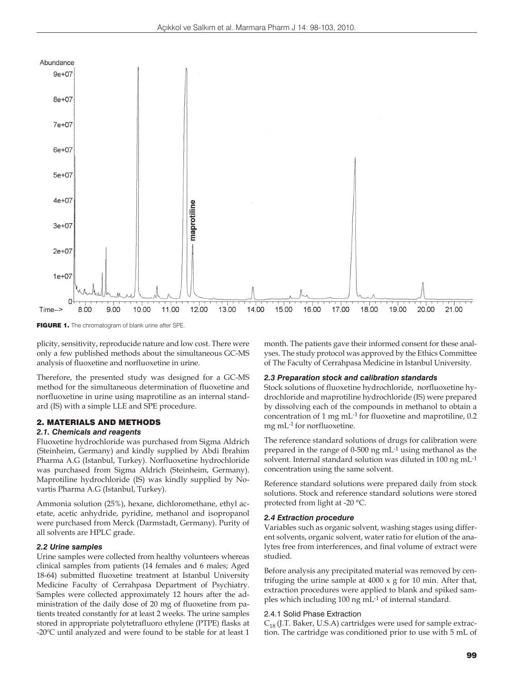

FIGURE 1. The chromatogram of blank urine after SPE.

plicity, sensitivity, reproducide nature and low cost. There were only a few published methods about the simultaneous GC-MS analysis of fluoxetine and norfluoxetine in urine.

Therefore, the presented study was designed for a GC-MS method for the simultaneous determination of fluoxetine and norfluoxetine in urine using maprotiline as an internal standard (IS) with a simple LLE and SPE procedure.

# 2. MATERIALS AND METHODS

# *2.1. Chemicals and reagents*

Fluoxetine hydrochloride was purchased from Sigma Aldrich (Steinheim, Germany) and kindly supplied by Abdi Ibrahim Pharma A.G (Istanbul, Turkey). Norfluoxetine hydrochloride was purchased from Sigma Aldrich (Steinheim, Germany). Maprotiline hydrochloride (IS) was kindly supplied by Novartis Pharma A.G (Istanbul, Turkey).

Ammonia solution (25%), hexane, dichloromethane, ethyl acetate, acetic anhydride, pyridine, methanol and isopropanol were purchased from Merck (Darmstadt, Germany). Purity of all solvents are HPLC grade.

## *2.2 Urine samples*

Urine samples were collected from healthy volunteers whereas clinical samples from patients (14 females and 6 males; Aged 18-64) submitted fluoxetine treatment at Istanbul University Medicine Faculty of Cerrahpasa Department of Psychiatry. Samples were collected approximately 12 hours after the administration of the daily dose of 20 mg of fluoxetine from patients treated constantly for at least 2 weeks. The urine samples stored in appropriate polytetrafluoro ethylene (PTPE) flasks at -20ºC until analyzed and were found to be stable for at least 1 month. The patients gave their informed consent for these analyses. The study protocol was approved by the Ethics Committee of The Faculty of Cerrahpasa Medicine in Istanbul University.

#### *2.3 Preparation stock and calibration standards*

Stock solutions of fluoxetine hydrochloride, norfluoxetine hydrochloride and maprotiline hydrochloride (IS) were prepared by dissolving each of the compounds in methanol to obtain a concentration of 1 mg mL-1 for fluoxetine and maprotiline, 0.2 mg mL-1 for norfluoxetine.

The reference standard solutions of drugs for calibration were prepared in the range of 0-500 ng mL-1 using methanol as the solvent. Internal standard solution was diluted in 100 ng mL-1 concentration using the same solvent.

Reference standard solutions were prepared daily from stock solutions. Stock and reference standard solutions were stored protected from light at -20 °C.

## *2.4 Extraction procedure*

Variables such as organic solvent, washing stages using different solvents, organic solvent, water ratio for elution of the analytes free from interferences, and final volume of extract were studied.

Before analysis any precipitated material was removed by centrifuging the urine sample at 4000 x g for 10 min. After that, extraction procedures were applied to blank and spiked samples which including 100 ng mL-1 of internal standard.

#### 2.4.1 Solid Phase Extraction

 $C_{18}$  (J.T. Baker, U.S.A) cartridges were used for sample extraction. The cartridge was conditioned prior to use with 5 mL of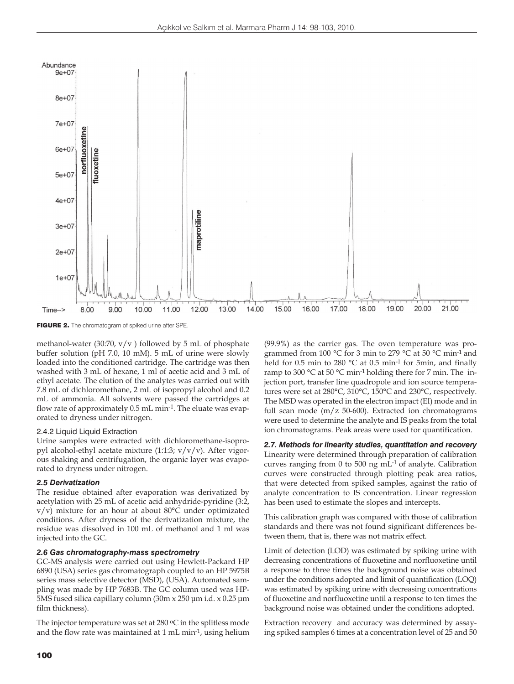

FIGURE 2. The chromatogram of spiked urine after SPE.

methanol-water (30:70,  $v/v$ ) followed by 5 mL of phosphate buffer solution (pH 7.0, 10 mM). 5 mL of urine were slowly loaded into the conditioned cartridge. The cartridge was then washed with 3 mL of hexane, 1 ml of acetic acid and 3 mL of ethyl acetate. The elution of the analytes was carried out with 7.8 mL of dichloromethane, 2 mL of isopropyl alcohol and 0.2 mL of ammonia. All solvents were passed the cartridges at flow rate of approximately 0.5 mL min-1. The eluate was evaporated to dryness under nitrogen.

#### 2.4.2 Liquid Liquid Extraction

Urine samples were extracted with dichloromethane-isopropyl alcohol-ethyl acetate mixture  $(1:1:3; v/v/v)$ . After vigorous shaking and centrifugation, the organic layer was evaporated to dryness under nitrogen.

#### *2.5 Derivatization*

The residue obtained after evaporation was derivatized by acetylation with 25 mL of acetic acid anhydride-pyridine (3:2, v/v) mixture for an hour at about 80°C under optimizated conditions. After dryness of the derivatization mixture, the residue was dissolved in 100 mL of methanol and 1 ml was injected into the GC.

# *2.6 Gas chromatography-mass spectrometry*

GC-MS analysis were carried out using Hewlett-Packard HP 6890 (USA) series gas chromatograph coupled to an HP 5975B series mass selective detector (MSD), (USA). Automated sampling was made by HP 7683B. The GC column used was HP-5MS fused silica capillary column (30m x 250 μm i.d. x 0.25 μm film thickness).

The injector temperature was set at  $280\,^{\circ}\text{C}$  in the splitless mode and the flow rate was maintained at 1 mL min-1, using helium

(99.9%) as the carrier gas. The oven temperature was programmed from 100 °C for 3 min to 279 °C at 50 °C min-1 and held for 0.5 min to 280 °C at 0.5 min<sup>-1</sup> for 5min, and finally ramp to 300 °C at 50 °C min-1 holding there for 7 min. The injection port, transfer line quadropole and ion source temperatures were set at 280°C, 310°C, 150°C and 230°C, respectively. The MSD was operated in the electron impact (EI) mode and in full scan mode (m/z 50-600). Extracted ion chromatograms were used to determine the analyte and IS peaks from the total ion chromatograms. Peak areas were used for quantification.

# *2.7. Methods for linearity studies, quantitation and recovery*

Linearity were determined through preparation of calibration curves ranging from 0 to 500 ng mL-1 of analyte. Calibration curves were constructed through plotting peak area ratios, that were detected from spiked samples, against the ratio of analyte concentration to IS concentration. Linear regression has been used to estimate the slopes and intercepts.

This calibration graph was compared with those of calibration standards and there was not found significant differences between them, that is, there was not matrix effect.

Limit of detection (LOD) was estimated by spiking urine with decreasing concentrations of fluoxetine and norfluoxetine until a response to three times the background noise was obtained under the conditions adopted and limit of quantification (LOQ) was estimated by spiking urine with decreasing concentrations of fluoxetine and norfluoxetine until a response to ten times the background noise was obtained under the conditions adopted.

Extraction recovery and accuracy was determined by assaying spiked samples 6 times at a concentration level of 25 and 50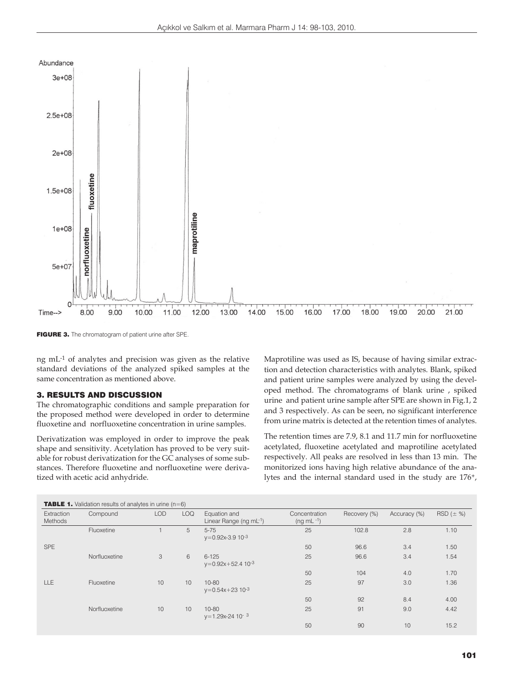

FIGURE 3. The chromatogram of patient urine after SPE.

ng mL-1 of analytes and precision was given as the relative standard deviations of the analyzed spiked samples at the same concentration as mentioned above.

# 3. RESULTS AND DISCUSSION

The chromatographic conditions and sample preparation for the proposed method were developed in order to determine fluoxetine and norfluoxetine concentration in urine samples.

Derivatization was employed in order to improve the peak shape and sensitivity. Acetylation has proved to be very suitable for robust derivatization for the GC analyses of some substances. Therefore fluoxetine and norfluoxetine were derivatized with acetic acid anhydride.

Maprotiline was used as IS, because of having similar extraction and detection characteristics with analytes. Blank, spiked and patient urine samples were analyzed by using the developed method. The chromatograms of blank urine , spiked urine and patient urine sample after SPE are shown in Fig.1, 2 and 3 respectively. As can be seen, no significant interference from urine matrix is detected at the retention times of analytes.

The retention times are 7.9, 8.1 and 11.7 min for norfluoxetine acetylated, fluoxetine acetylated and maprotiline acetylated respectively. All peaks are resolved in less than 13 min.The monitorized ions having high relative abundance of the analytes and the internal standard used in the study are 176+,

| <b>TABLE 1.</b> Validation results of analytes in urine $(n=6)$ |               |            |            |                                              |                                    |              |              |                 |
|-----------------------------------------------------------------|---------------|------------|------------|----------------------------------------------|------------------------------------|--------------|--------------|-----------------|
| Extraction<br>Methods                                           | Compound      | <b>LOD</b> | <b>LOQ</b> | Equation and<br>Linear Range (ng mL-1)       | Concentration<br>$(ng \, mL^{-1})$ | Recovery (%) | Accuracy (%) | $RSD (\pm \% )$ |
|                                                                 | Fluoxetine    |            | 5          | $5 - 75$<br>$y=0.92x-3.910-3$                | 25                                 | 102.8        | 2.8          | 1.10            |
| <b>SPE</b>                                                      |               |            |            |                                              | 50                                 | 96.6         | 3.4          | 1.50            |
|                                                                 | Norfluoxetine | 3          | 6          | $6 - 125$<br>$y=0.92x+52.4$ 10 <sup>-3</sup> | 25                                 | 96.6         | 3.4          | 1.54            |
|                                                                 |               |            |            |                                              | 50                                 | 104          | 4.0          | 1.70            |
| <b>LLE</b>                                                      | Fluoxetine    | 10         | 10         | $10 - 80$<br>$y=0.54x+23$ 10-3               | 25                                 | 97           | 3.0          | 1.36            |
|                                                                 |               |            |            |                                              | 50                                 | 92           | 8.4          | 4.00            |
|                                                                 | Norfluoxetine | 10         | 10         | $10 - 80$<br>$y=1.29x-24$ 10 <sup>-3</sup>   | 25                                 | 91           | 9.0          | 4.42            |
|                                                                 |               |            |            |                                              | 50                                 | 90           | 10           | 15.2            |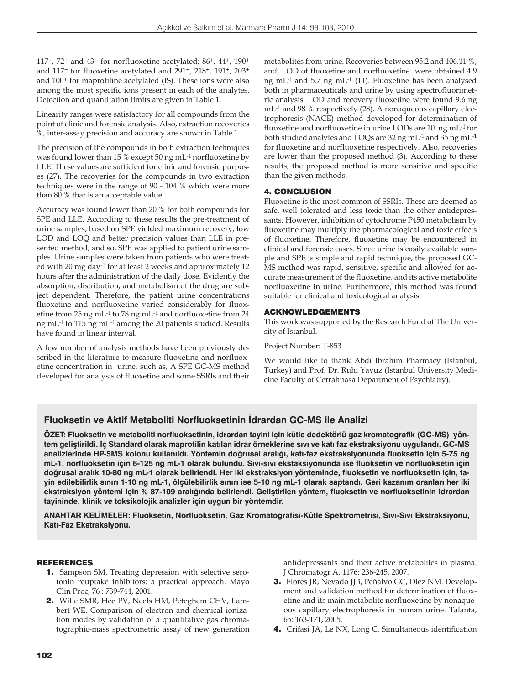117<sup>+</sup>, 72<sup>+</sup> and 43<sup>+</sup> for norfluoxetine acetylated; 86<sup>+</sup>, 44<sup>+</sup>, 190<sup>+</sup> and 117+ for fluoxetine acetylated and 291+, 218+, 191+, 203+ and 100+ for maprotiline acetylated (IS). These ions were also among the most specific ions present in each of the analytes. Detection and quantitation limits are given in Table 1.

Linearity ranges were satisfactory for all compounds from the point of clinic and forensic analysis. Also, extraction recoveries %, inter-assay precision and accuracy are shown in Table 1.

The precision of the compounds in both extraction techniques was found lower than 15 % except 50 ng mL-1 norfluoxetine by LLE. These values are sufficient for clinic and forensic purposes (27). The recoveries for the compounds in two extraction techniques were in the range of 90 - 104 % which were more than 80 % that is an acceptable value.

Accuracy was found lower than 20 % for both compounds for SPE and LLE. According to these results the pre-treatment of urine samples, based on SPE yielded maximum recovery, low LOD and LOQ and better precision values than LLE in presented method, and so, SPE was applied to patient urine samples. Urine samples were taken from patients who were treated with 20 mg day-1 for at least 2 weeks and approximately 12 hours after the administration of the daily dose. Evidently the absorption, distribution, and metabolism of the drug are subject dependent. Therefore, the patient urine concentrations fluoxetine and norfluoxetine varied considerably for fluoxetine from 25 ng mL-1 to 78 ng mL-1 and norfluoxetine from 24 ng mL-1 to 115 ng mL-1 among the 20 patients studied. Results have found in linear interval.

A few number of analysis methods have been previously described in the literature to measure fluoxetine and norfluoxetine concentration in urine, such as, A SPE GC-MS method developed for analysis of fluoxetine and some SSRIs and their metabolites from urine. Recoveries between 95.2 and 106.11 %, and, LOD of fluoxetine and norfluoxetine were obtained 4.9 ng mL-1 and 5.7 ng mL-1 (11). Fluoxetine has been analysed both in pharmaceuticals and urine by using spectrofluorimetric analysis. LOD and recovery fluoxetine were found 9.6 ng mL-1 and 98 % respectively (28). A nonaqueous capillary electrophoresis (NACE) method developed for determination of fluoxetine and norfluoxetine in urine LODs are 10 ng mL-1 for both studied analytes and LOQs are 32 ng mL-1 and 35 ng mL-1 for fluoxetine and norfluoxetine respectively. Also, recoveries are lower than the proposed method (3). According to these results, the proposed method is more sensitive and specific than the given methods.

# 4. CONCLUSION

Fluoxetine is the most common of SSRIs. These are deemed as safe, well tolerated and less toxic than the other antidepressants. However, inhibition of cytochrome P450 metabolism by fluoxetine may multiply the pharmacological and toxic effects of fluoxetine. Therefore, fluoxetine may be encountered in clinical and forensic cases. Since urine is easily available sample and SPE is simple and rapid technique, the proposed GC-MS method was rapid, sensitive, specific and allowed for accurate measurement of the fluoxetine, and its active metabolite norfluoxetine in urine. Furthermore, this method was found suitable for clinical and toxicological analysis.

# ACKNOWLEDGEMENTS

This work was supported by the Research Fund of The University of Istanbul.

Project Number: T-853

We would like to thank Abdi Ibrahim Pharmacy (Istanbul, Turkey) and Prof. Dr. Ruhi Yavuz (Istanbul University Medicine Faculty of Cerrahpasa Department of Psychiatry).

# **Fluoksetin ve Aktif Metaboliti Norfluoksetinin İdrardan GC-MS ile Analizi**

**ÖZET: Fluoksetin ve metaboliti norfluoksetinin, idrardan tayini için kütle dedektörlü gaz kromatografik (GC-MS) yöntem geliştirildi. İç Standard olarak maprotilin katılan idrar örneklerine sıvı ve katı faz ekstraksiyonu uygulandı. GC-MS analizlerinde HP-5MS kolonu kullanıldı. Yöntemin doğrusal aralığı, katı-faz ekstraksiyonunda fluoksetin için 5-75 ng mL-1, norfluoksetin için 6-125 ng mL-1 olarak bulundu. Sıvı-sıvı ekstaksiyonunda ise fluoksetin ve norfluoksetin için doğrusal aralık 10-80 ng mL-1 olarak belirlendi. Her iki ekstraksiyon yönteminde, fluoksetin ve norfluoksetin için, tayin edilebilirlik sınırı 1-10 ng mL-1, ölçülebilirlik sınırı ise 5-10 ng mL-1 olarak saptandı. Geri kazanım oranları her iki ekstraksiyon yöntemi için % 87-109 aralığında belirlendi. Geliştirilen yöntem, fluoksetin ve norfluoksetinin idrardan tayininde, klinik ve toksikolojik analizler için uygun bir yöntemdir.**

**ANAHTAR KELİMELER: Fluoksetin, Norfluoksetin, Gaz Kromatografisi-Kütle Spektrometrisi, Sıvı-Sıvı Ekstraksiyonu, Katı-Faz Ekstraksiyonu.**

# REFERENCES

- 1. Sampson SM, Treating depression with selective serotonin reuptake inhibitors: a practical approach. Mayo Clin Proc, 76 : 739-744, 2001.
- 2. Wille SMR, Hee PV, Neels HM, Peteghem CHV, Lambert WE. Comparison of electron and chemical ionization modes by validation of a quantitative gas chromatographic-mass spectrometric assay of new generation

antidepressants and their active metabolites in plasma. J Chromatogr A, 1176: 236-245, 2007.

- 3. Flores JR, Nevado JJB, Peňalvo GC, Diez NM. Development and validation method for determination of fluoxetine and its main metabolite norfluoxetine by nonaqueous capillary electrophoresis in human urine. Talanta, 65: 163-171, 2005.
- 4. Crifasi JA, Le NX, Long C. Simultaneous identification